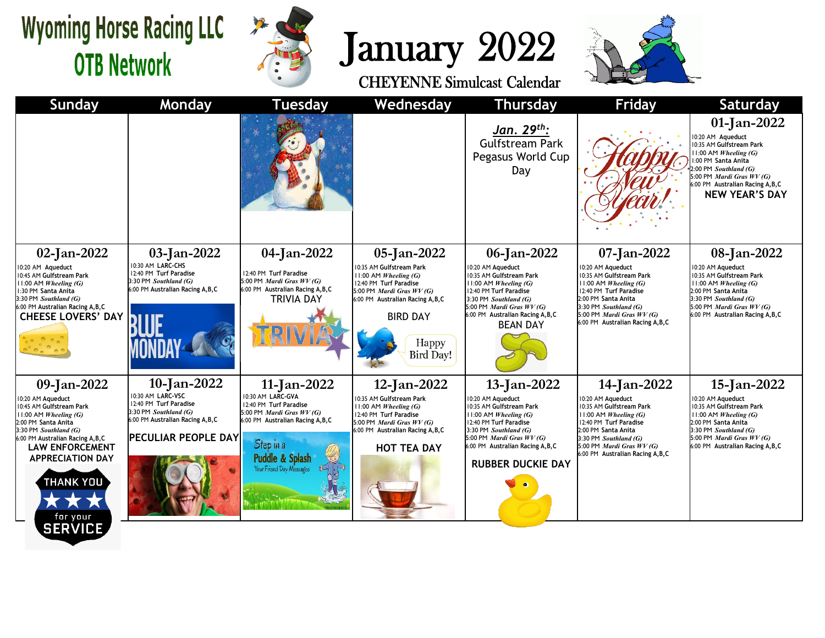## **Wyoming Horse Racing LLC OTB Network**



## January 2022



| <b>Sunday</b>                                                                                                                                                                                                                                                              | Monday                                                                                                                                                 | <b>Tuesday</b>                                                                                                                                                                                  | Wednesday                                                                                                                                                                                                           | <b>Thursday</b>                                                                                                                                                                                                                       | Friday                                                                                                                                                                                                                                     | <b>Saturday</b>                                                                                                                                                                                                                      |
|----------------------------------------------------------------------------------------------------------------------------------------------------------------------------------------------------------------------------------------------------------------------------|--------------------------------------------------------------------------------------------------------------------------------------------------------|-------------------------------------------------------------------------------------------------------------------------------------------------------------------------------------------------|---------------------------------------------------------------------------------------------------------------------------------------------------------------------------------------------------------------------|---------------------------------------------------------------------------------------------------------------------------------------------------------------------------------------------------------------------------------------|--------------------------------------------------------------------------------------------------------------------------------------------------------------------------------------------------------------------------------------------|--------------------------------------------------------------------------------------------------------------------------------------------------------------------------------------------------------------------------------------|
|                                                                                                                                                                                                                                                                            |                                                                                                                                                        |                                                                                                                                                                                                 |                                                                                                                                                                                                                     | <u> Jan. 29<sup>th</sup>:</u><br><b>Gulfstream Park</b><br>Pegasus World Cup<br>Day                                                                                                                                                   |                                                                                                                                                                                                                                            | 01-Jan-2022<br>0:20 AM Aqueduct<br>0:35 AM Gulfstream Park<br>$1:00$ AM <i>Wheeling</i> (G)<br>:00 PM Santa Anita<br>:00 PM Southland (G)<br>5:00 PM Mardi Gras WV (G)<br>6:00 PM Australian Racing A, B, C<br><b>NEW YEAR'S DAY</b> |
| 02-Jan-2022<br>0:20 AM Aqueduct<br>0:45 AM Gulfstream Park<br>11:00 AM Wheeling (G)<br>1:30 PM Santa Anita<br>3:30 PM Southland (G)<br>6:00 PM Australian Racing A,B,C<br><b>CHEESE LOVERS' DAY</b>                                                                        | 03-Jan-2022<br>10:30 AM LARC-CHS<br>12:40 PM Turf Paradise<br>3:30 PM Southland (G)<br>6:00 PM Australian Racing A, B, C                               | 04-Jan-2022<br>12:40 PM Turf Paradise<br>5:00 PM Mardi Gras $WV(G)$<br>6:00 PM Australian Racing A, B, C<br><b>TRIVIA DAY</b>                                                                   | 05-Jan-2022<br>10:35 AM Gulfstream Park<br>11:00 AM Wheeling (G)<br>12:40 PM Turf Paradise<br>5:00 PM <i>Mardi Gras WV (G)</i><br>6:00 PM Australian Racing A, B, C<br><b>BIRD DAY</b><br>Happy<br><b>Bird Day!</b> | 06-Jan-2022<br>10:20 AM Aqueduct<br>0:35 AM Gulfstream Park<br>11:00 AM Wheeling (G)<br>12:40 PM Turf Paradise<br>3:30 PM Southland (G)<br>5:00 PM <i>Mardi Gras WV (G)</i><br>6:00 PM Australian Racing A, B, C<br><b>BEAN DAY</b>   | 07-Jan-2022<br>10:20 AM Aqueduct<br>10:35 AM Gulfstream Park<br>11:00 AM Wheeling (G)<br>12:40 PM Turf Paradise<br>2:00 PM Santa Anita<br>3:30 PM Southland (G)<br>5:00 PM <i>Mardi Gras WV (G)</i><br>6:00 PM Australian Racing A, B, C   | 08-Jan-2022<br>0:20 AM Aqueduct<br>0:35 AM Gulfstream Park<br>11:00 AM Wheeling (G)<br>2:00 PM Santa Anita<br>3:30 PM Southland (G)<br>5:00 PM Mardi Gras WV (G)<br>6:00 PM Australian Racing A, B, C                                |
| 09-Jan-2022<br>10:20 AM Aqueduct<br>0:45 AM Gulfstream Park<br>11:00 AM Wheeling (G)<br>2:00 PM Santa Anita<br>3:30 PM Southland (G)<br>6:00 PM Australian Racing A, B, C<br><b>LAW ENFORCEMENT</b><br><b>APPRECIATION DAY</b><br>THANK YOU`<br>for your<br><b>CEDVICE</b> | 10-Jan-2022<br>10:30 AM LARC-VSC<br>12:40 PM Turf Paradise<br>3:30 PM Southland (G)<br>6:00 PM Australian Racing A, B, C<br><b>PECULIAR PEOPLE DAY</b> | 11-Jan-2022<br>10:30 AM LARC-GVA<br>12:40 PM Turf Paradise<br>5:00 PM <i>Mardi Gras WV (G)</i><br>6:00 PM Australian Racing A, B, C<br>Step in a<br>Puddle & Splash<br>Your Friend Day Messages | 12-Jan-2022<br>10:35 AM Gulfstream Park<br>11:00 AM Wheeling (G)<br>12:40 PM Turf Paradise<br>5:00 PM <i>Mardi Gras WV (G)</i><br>6:00 PM Australian Racing A, B, C<br><b>HOT TEA DAY</b>                           | 13-Jan-2022<br>0:20 AM Aqueduct<br>10:35 AM Gulfstream Park<br>11:00 AM Wheeling (G)<br>12:40 PM Turf Paradise<br>3:30 PM Southland (G)<br>5:00 PM Mardi Gras WV (G)<br>6:00 PM Australian Racing A, B, C<br><b>RUBBER DUCKIE DAY</b> | 14-Jan-2022<br>10:20 AM Aqueduct<br>10:35 AM Gulfstream Park<br>$11:00$ AM Wheeling (G)<br>12:40 PM Turf Paradise<br>2:00 PM Santa Anita<br>3:30 PM Southland (G)<br>5:00 PM <i>Mardi Gras WV (G)</i><br>6:00 PM Australian Racing A, B, C | 15-Jan-2022<br>0:20 AM Aqueduct<br>0:35 AM Gulfstream Park<br>11:00 AM <i>Wheeling (G)</i><br>2:00 PM Santa Anita<br>3:30 PM Southland (G)<br>5:00 PM Mardi Gras WV (G)<br>6:00 PM Australian Racing A, B, C                         |